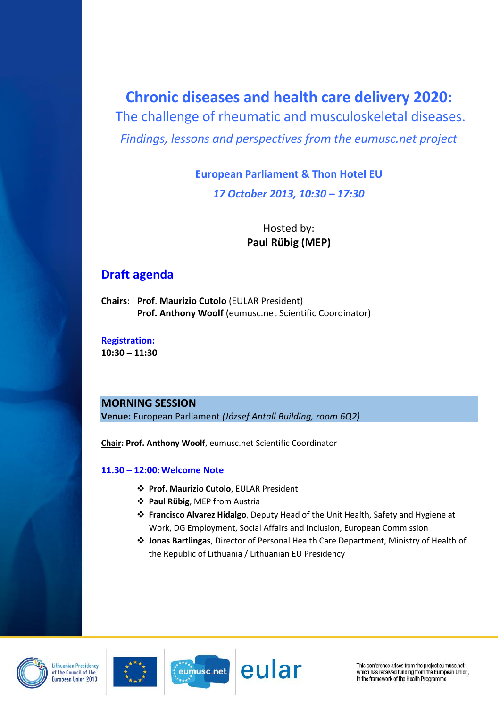# **Chronic diseases and health care delivery 2020:**

The challenge of rheumatic and musculoskeletal diseases. *Findings, lessons and perspectives from the eumusc.net project*

# **European Parliament & Thon Hotel EU** *17 October 2013, 10:30 – 17:30*

# Hosted by: **Paul Rübig (MEP)**

# **Draft agenda**

**Chairs**: **Prof**. **Maurizio Cutolo** (EULAR President) **Prof. Anthony Woolf** (eumusc.net Scientific Coordinator)

**Registration: 10:30 – 11:30**

# **MORNING SESSION**

**Venue:** European Parliament *(József Antall Building, room 6Q2)*

**Chair: Prof. Anthony Woolf**, eumusc.net Scientific Coordinator

# **11.30 – 12:00:Welcome Note**

- **Prof. Maurizio Cutolo**, EULAR President
- **Paul Rübig**, MEP from Austria
- **Francisco Alvarez Hidalgo**, Deputy Head of the Unit Health, Safety and Hygiene at Work, DG Employment, Social Affairs and Inclusion, European Commission
- **Jonas Bartlingas**, Director of Personal Health Care Department, Ministry of Health of the Republic of Lithuania / Lithuanian EU Presidency









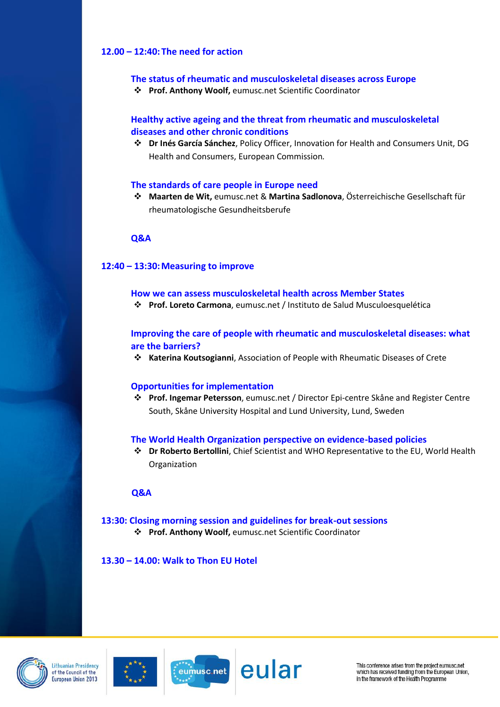#### **12.00 – 12:40: The need for action**

#### **The status of rheumatic and musculoskeletal diseases across Europe**

**Prof. Anthony Woolf,** eumusc.net Scientific Coordinator

### **Healthy active ageing and the threat from rheumatic and musculoskeletal diseases and other chronic conditions**

 **Dr Inés García Sánchez**, Policy Officer, Innovation for Health and Consumers Unit, DG Health and Consumers, European Commission*.*

#### **The standards of care people in Europe need**

 **Maarten de Wit,** eumusc.net & **Martina Sadlonova**, Österreichische Gesellschaft für rheumatologische Gesundheitsberufe

#### **Q&A**

#### **12:40 – 13:30:Measuring to improve**

- **How we can assess musculoskeletal health across Member States**
- **Prof. Loreto Carmona**, eumusc.net / Instituto de Salud Musculoesquelética

### **Improving the care of people with rheumatic and musculoskeletal diseases: what are the barriers?**

**Katerina Koutsogianni**, Association of People with Rheumatic Diseases of Crete

#### **Opportunities for implementation**

 **Prof. Ingemar Petersson**, eumusc.net / Director Epi-centre Skåne and Register Centre South, Skåne University Hospital and Lund University, Lund, Sweden

#### **The World Health Organization perspective on evidence-based policies**

 **Dr Roberto Bertollini**, Chief Scientist and WHO Representative to the EU, World Health Organization

#### **Q&A**

**13:30: Closing morning session and guidelines for break-out sessions Prof. Anthony Woolf,** eumusc.net Scientific Coordinator

**13.30 – 14.00: Walk to Thon EU Hotel**







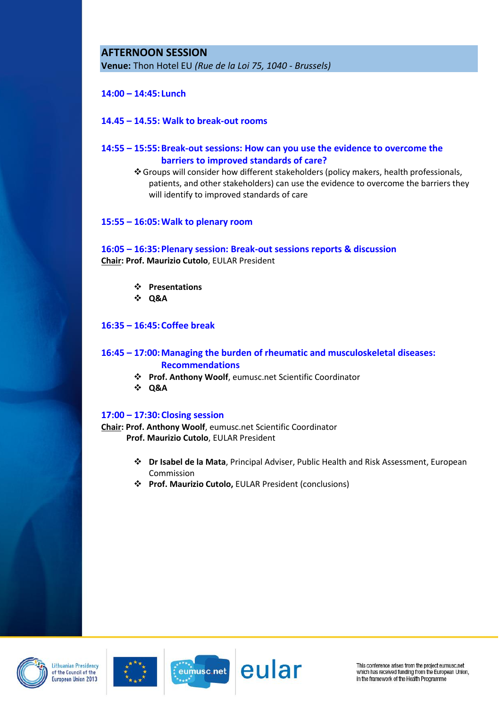# **AFTERNOON SESSION**

**Venue:** Thon Hotel EU *(Rue de la Loi 75, 1040 - Brussels)*

### **14:00 – 14:45: Lunch**

#### **14.45 – 14.55: Walk to break-out rooms**

### **14:55 – 15:55:Break-out sessions: How can you use the evidence to overcome the barriers to improved standards of care?**

Groups will consider how different stakeholders (policy makers, health professionals, patients, and other stakeholders) can use the evidence to overcome the barriers they will identify to improved standards of care

#### **15:55 – 16:05:Walk to plenary room**

#### **16:05 – 16:35:Plenary session: Break-out sessions reports & discussion Chair: Prof. Maurizio Cutolo**, EULAR President

- **Presentations**
- **Q&A**

#### **16:35 – 16:45:Coffee break**

## **16:45 – 17:00:Managing the burden of rheumatic and musculoskeletal diseases: Recommendations**

- **Prof. Anthony Woolf**, eumusc.net Scientific Coordinator
- **Q&A**

#### **17:00 – 17:30:Closing session**

**Chair: Prof. Anthony Woolf**, eumusc.net Scientific Coordinator  **Prof. Maurizio Cutolo**, EULAR President

- **Dr Isabel de la Mata**, Principal Adviser, Public Health and Risk Assessment, European Commission
- **Prof. Maurizio Cutolo,** EULAR President (conclusions)









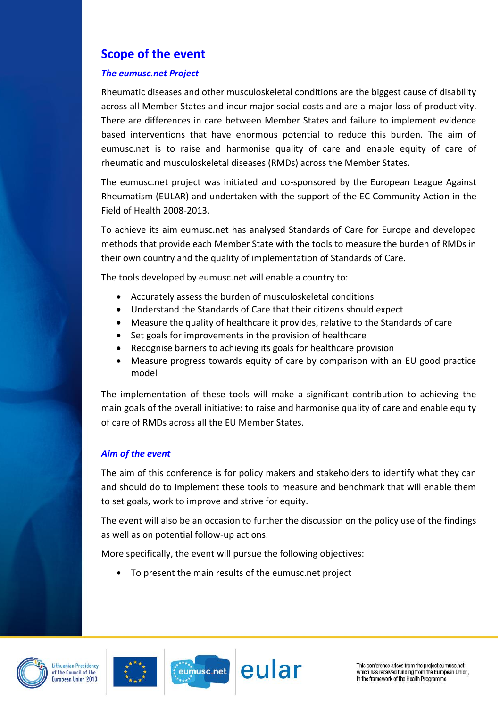# **Scope of the event**

## *The eumusc.net Project*

Rheumatic diseases and other musculoskeletal conditions are the biggest cause of disability across all Member States and incur major social costs and are a major loss of productivity. There are differences in care between Member States and failure to implement evidence based interventions that have enormous potential to reduce this burden. The aim of eumusc.net is to raise and harmonise quality of care and enable equity of care of rheumatic and musculoskeletal diseases (RMDs) across the Member States.

The eumusc.net project was initiated and co-sponsored by the European League Against Rheumatism (EULAR) and undertaken with the support of the EC Community Action in the Field of Health 2008-2013.

To achieve its aim eumusc.net has analysed Standards of Care for Europe and developed methods that provide each Member State with the tools to measure the burden of RMDs in their own country and the quality of implementation of Standards of Care.

The tools developed by eumusc.net will enable a country to:

- Accurately assess the burden of musculoskeletal conditions
- Understand the Standards of Care that their citizens should expect
- Measure the quality of healthcare it provides, relative to the Standards of care
- Set goals for improvements in the provision of healthcare
- Recognise barriers to achieving its goals for healthcare provision
- Measure progress towards equity of care by comparison with an EU good practice model

The implementation of these tools will make a significant contribution to achieving the main goals of the overall initiative: to raise and harmonise quality of care and enable equity of care of RMDs across all the EU Member States.

# *Aim of the event*

The aim of this conference is for policy makers and stakeholders to identify what they can and should do to implement these tools to measure and benchmark that will enable them to set goals, work to improve and strive for equity.

The event will also be an occasion to further the discussion on the policy use of the findings as well as on potential follow-up actions.

More specifically, the event will pursue the following objectives:

• To present the main results of the eumusc.net project







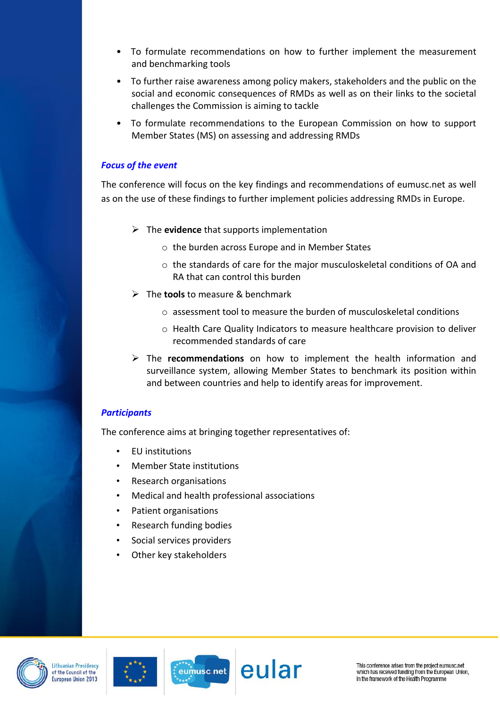- To formulate recommendations on how to further implement the measurement and benchmarking tools
- To further raise awareness among policy makers, stakeholders and the public on the social and economic consequences of RMDs as well as on their links to the societal challenges the Commission is aiming to tackle
- To formulate recommendations to the European Commission on how to support Member States (MS) on assessing and addressing RMDs

## *Focus of the event*

The conference will focus on the key findings and recommendations of eumusc.net as well as on the use of these findings to further implement policies addressing RMDs in Europe.

- The **evidence** that supports implementation
	- o the burden across Europe and in Member States
	- o the standards of care for the major musculoskeletal conditions of OA and RA that can control this burden
- The **tools** to measure & benchmark
	- $\circ$  assessment tool to measure the burden of musculoskeletal conditions
	- o Health Care Quality Indicators to measure healthcare provision to deliver recommended standards of care
- The **recommendations** on how to implement the health information and surveillance system, allowing Member States to benchmark its position within and between countries and help to identify areas for improvement.

# *Participants*

The conference aims at bringing together representatives of:

- EU institutions
- Member State institutions
- Research organisations
- Medical and health professional associations
- Patient organisations
- Research funding bodies
- Social services providers
- Other key stakeholders